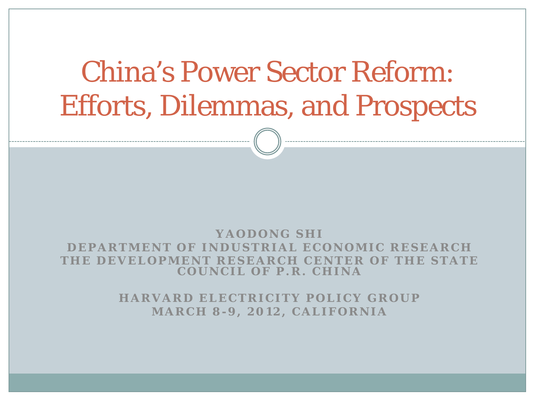# China's Power Sector Reform: Efforts, Dilemmas, and Prospects

#### **YAODONG SHI**

**DEPARTMENT OF INDUSTRIAL ECONOMIC RESEARCH THE DEVELOPMENT RESEARCH CENTER OF THE STATE COUNCIL OF P.R. CHINA**

> **HARVARD ELECTRICITY POLICY GROUP MARCH 8 - 9, 2012, CALIFORNIA**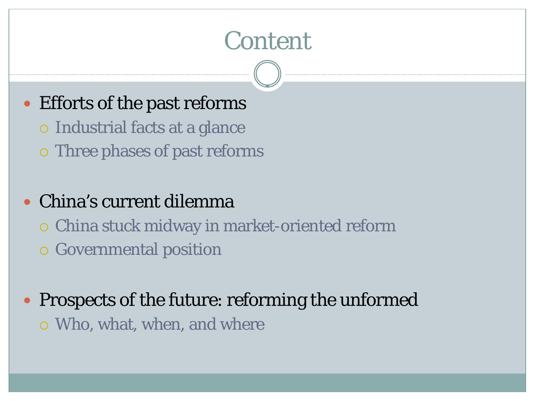### Content

#### • Efforts of the past reforms

- Industrial facts at a glance
- Three phases of past reforms

#### China's current dilemma

- China stuck midway in market-oriented reform
- Governmental position
- Prospects of the future: reforming the unformed Who, what, when, and where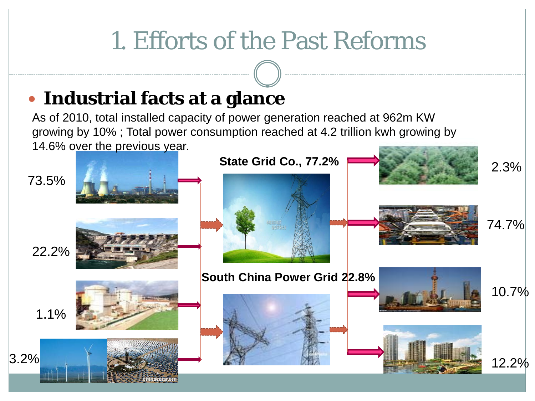### 1. Efforts of the Past Reforms

#### **Industrial facts at a glance**

As of 2010, total installed capacity of power generation reached at 962m KW growing by 10% ; Total power consumption reached at 4.2 trillion [kwh growing by](http://www.cntrades.com/sell/show-3410733.html)  14.6% o[ver the previous yea](http://baike.baidu.com/albums/78573/78573.html)r.

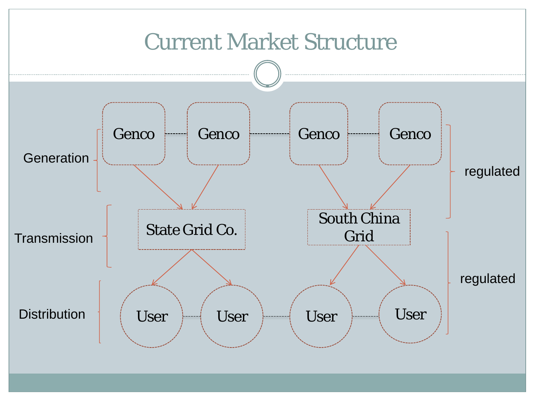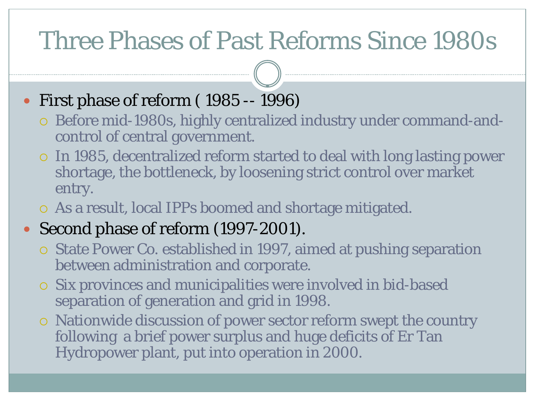### Three Phases of Past Reforms Since 1980s

#### First phase of reform ( 1985 -- 1996)

- Before mid-1980s, highly centralized industry under command-andcontrol of central government.
- In 1985, decentralized reform started to deal with long lasting power shortage, the bottleneck, by loosening strict control over market entry.
- As a result, local IPPs boomed and shortage mitigated.

#### • Second phase of reform (1997-2001).

- State Power Co. established in 1997, aimed at pushing separation between administration and corporate.
- Six provinces and municipalities were involved in bid-based separation of generation and grid in 1998.
- Nationwide discussion of power sector reform swept the country following a brief power surplus and huge deficits of Er Tan Hydropower plant, put into operation in 2000.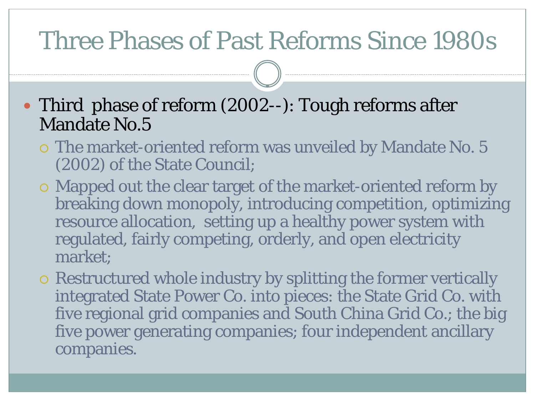#### Three Phases of Past Reforms Since 1980s

• Third phase of reform (2002--): Tough reforms after Mandate No.5

- The market-oriented reform was unveiled by Mandate No. 5 (2002) of the State Council;
- Mapped out the clear target of the market-oriented reform by breaking down monopoly, introducing competition, optimizing resource allocation, setting up a healthy power system with regulated, fairly competing, orderly, and open electricity market;
- Restructured whole industry by splitting the former vertically integrated State Power Co. into pieces: the State Grid Co. with five regional grid companies and South China Grid Co.; the big five power generating companies; four independent ancillary companies.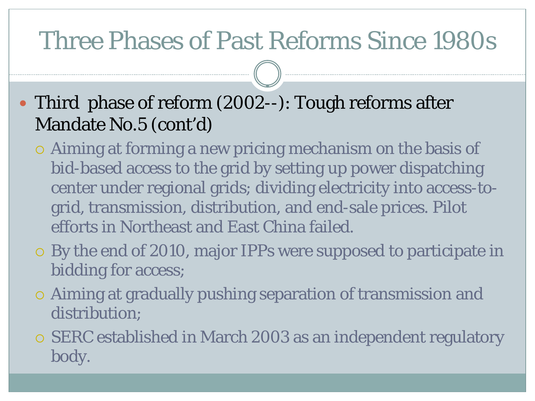### Three Phases of Past Reforms Since 1980s

- Third phase of reform (2002--): Tough reforms after Mandate No.5 (cont'd)
	- Aiming at forming a new pricing mechanism on the basis of bid-based access to the grid by setting up power dispatching center under regional grids; dividing electricity into access-togrid, transmission, distribution, and end-sale prices. Pilot efforts in Northeast and East China failed.
	- By the end of 2010, major IPPs were supposed to participate in bidding for access;
	- Aiming at gradually pushing separation of transmission and distribution;
	- SERC established in March 2003 as an independent regulatory body.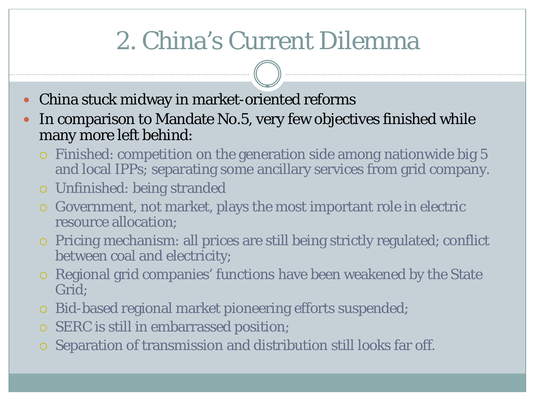# 2. China's Current Dilemma

- China stuck midway in market-oriented reforms
- In comparison to Mandate No.5, very few objectives finished while many more left behind:
	- Finished: competition on the generation side among nationwide big 5 and local IPPs; separating some ancillary services from grid company.
	- Unfinished: being stranded
	- Government, not market, plays the most important role in electric resource allocation;
	- Pricing mechanism: all prices are still being strictly regulated; conflict between coal and electricity;
	- Regional grid companies' functions have been weakened by the State Grid;
	- Bid-based regional market pioneering efforts suspended;
	- SERC is still in embarrassed position;
	- Separation of transmission and distribution still looks far off.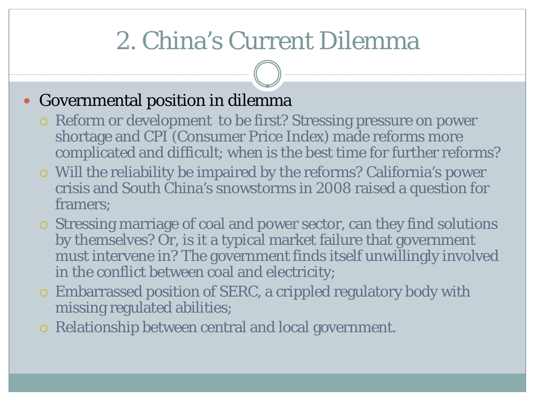# 2. China's Current Dilemma

#### Governmental position in dilemma

- Reform or development to be first? Stressing pressure on power shortage and CPI (Consumer Price Index) made reforms more complicated and difficult; when is the best time for further reforms?
- Will the reliability be impaired by the reforms? California's power crisis and South China's snowstorms in 2008 raised a question for framers;
- Stressing marriage of coal and power sector, can they find solutions by themselves? Or, is it a typical market failure that government must intervene in? The government finds itself unwillingly involved in the conflict between coal and electricity;
- Embarrassed position of SERC, a crippled regulatory body with missing regulated abilities;
- Relationship between central and local government.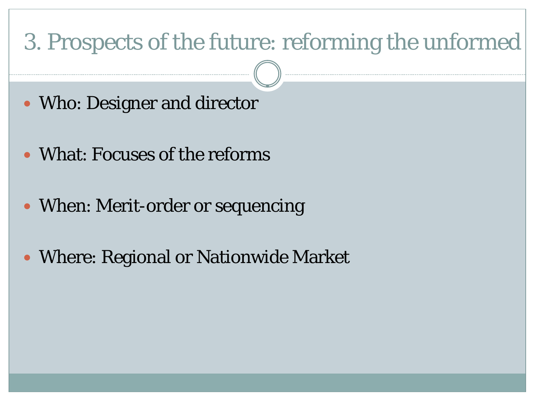#### 3. Prospects of the future: reforming the unformed

- Who: Designer and director
- What: Focuses of the reforms
- When: Merit-order or sequencing
- Where: Regional or Nationwide Market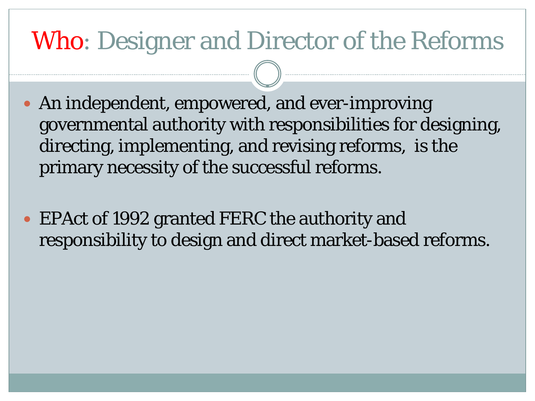### Who: Designer and Director of the Reforms

- An independent, empowered, and ever-improving governmental authority with responsibilities for designing, directing, implementing, and revising reforms, is the primary necessity of the successful reforms.
- EPAct of 1992 granted FERC the authority and responsibility to design and direct market-based reforms.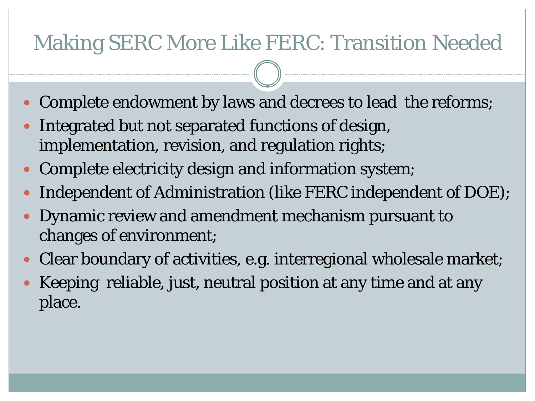#### Making SERC More Like FERC: Transition Needed

- Complete endowment by laws and decrees to lead the reforms;
- Integrated but not separated functions of design, implementation, revision, and regulation rights;
- Complete electricity design and information system;
- Independent of Administration (like FERC independent of DOE);
- Dynamic review and amendment mechanism pursuant to changes of environment;
- Clear boundary of activities, e.g. interregional wholesale market;
- Keeping reliable, just, neutral position at any time and at any place.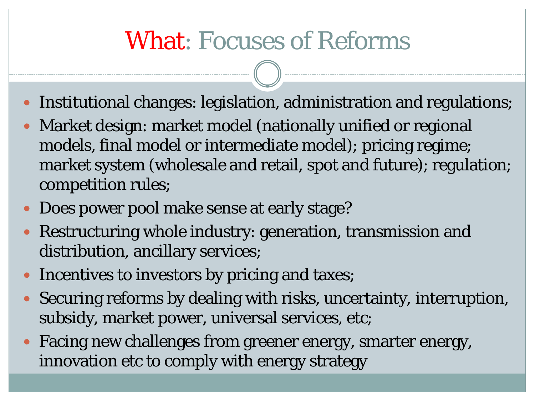### What: Focuses of Reforms

- Institutional changes: legislation, administration and regulations;
- Market design: market model (nationally unified or regional models, final model or intermediate model); pricing regime; market system (wholesale and retail, spot and future); regulation; competition rules;
- Does power pool make sense at early stage?
- Restructuring whole industry: generation, transmission and distribution, ancillary services;
- Incentives to investors by pricing and taxes;
- Securing reforms by dealing with risks, uncertainty, interruption, subsidy, market power, universal services, etc;
- Facing new challenges from greener energy, smarter energy, innovation etc to comply with energy strategy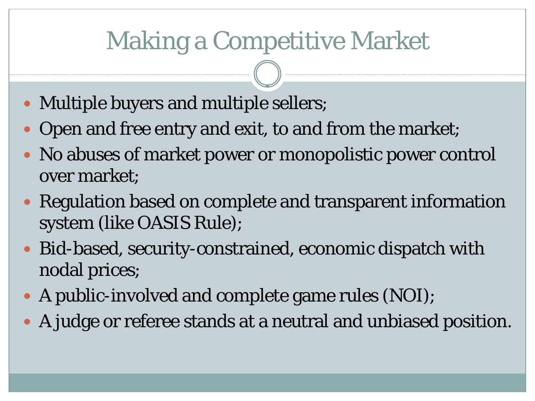### Making a Competitive Market

- Multiple buyers and multiple sellers;
- Open and free entry and exit, to and from the market;
- No abuses of market power or monopolistic power control over market;
- Regulation based on complete and transparent information system (like OASIS Rule);
- Bid-based, security-constrained, economic dispatch with nodal prices;
- A public-involved and complete game rules (NOI);
- A judge or referee stands at a neutral and unbiased position.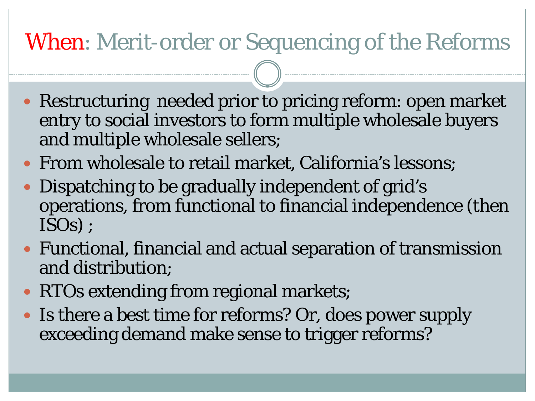#### When: Merit-order or Sequencing of the Reforms

- Restructuring needed prior to pricing reform: open market entry to social investors to form multiple wholesale buyers and multiple wholesale sellers;
- From wholesale to retail market, California's lessons;
- Dispatching to be gradually independent of grid's operations, from functional to financial independence (then ISOs) ;
- Functional, financial and actual separation of transmission and distribution;
- RTOs extending from regional markets;
- Is there a best time for reforms? Or, does power supply exceeding demand make sense to trigger reforms?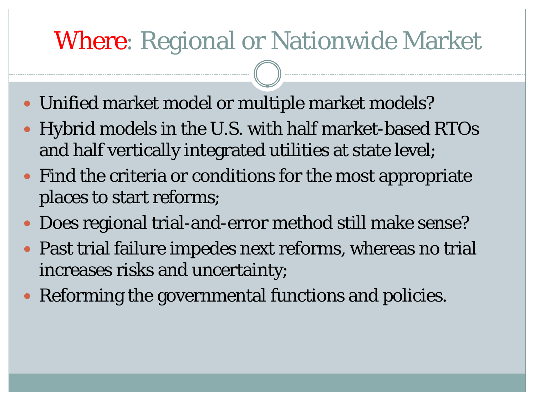### Where: Regional or Nationwide Market

- Unified market model or multiple market models?
- Hybrid models in the U.S. with half market-based RTOs and half vertically integrated utilities at state level;
- Find the criteria or conditions for the most appropriate places to start reforms;
- Does regional trial-and-error method still make sense?
- Past trial failure impedes next reforms, whereas no trial increases risks and uncertainty;
- Reforming the governmental functions and policies.